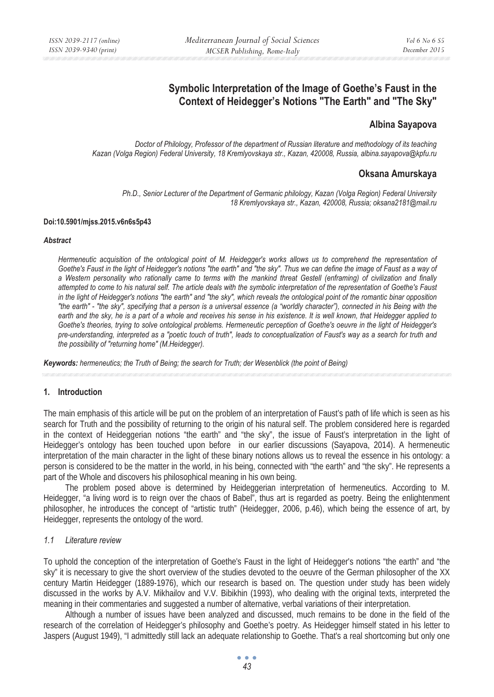# **Symbolic Interpretation of the Image of Goethe's Faust in the Context of Heidegger's Notions "The Earth" and "The Sky"**

## **Albina Sayapova**

*Doctor of Philology, Professor of the department of Russian literature and methodology of its teaching Kazan (Volga Region) Federal University, 18 Kremlyovskaya str., Kazan, 420008, Russia, albina.sayapova@kpfu.ru* 

## **Oksana Amurskaya**

*Ph.D., Senior Lecturer of the Department of Germanic philology, Kazan (Volga Region) Federal University 18 Kremlyovskaya str., Kazan, 420008, Russia; oksana2181@mail.ru* 

#### **Doi:10.5901/mjss.2015.v6n6s5p43**

#### *Abstract*

*Hermeneutic acquisition of the ontological point of M. Heidegger's works allows us to comprehend the representation of Goethe's Faust in the light of Heidegger's notions "the earth" and "the sky". Thus we can define the image of Faust as a way of a Western personality who rationally came to terms with the mankind threat Gestell (enframing) of civilization and finally attempted to come to his natural self. The article deals with the symbolic interpretation of the representation of Goethe's Faust in the light of Heidegger's notions "the earth" and "the sky", which reveals the ontological point of the romantic binar opposition "the earth" - "the sky", specifying that a person is a universal essence (a "worldly character"), connected in his Being with the earth and the sky, he is a part of a whole and receives his sense in his existence. It is well known, that Heidegger applied to Goethe's theories, trying to solve ontological problems. Hermeneutic perception of Goethe's oeuvre in the light of Heidegger's pre-understanding, interpreted as a "poetic touch of truth", leads to conceptualization of Faust's way as a search for truth and the possibility of "returning home" (M.Heidegger).* 

*Keywords: hermeneutics; the Truth of Being; the search for Truth; der Wesenblick (the point of Being)* 

### **1. Introduction**

The main emphasis of this article will be put on the problem of an interpretation of Faust's path of life which is seen as his search for Truth and the possibility of returning to the origin of his natural self. The problem considered here is regarded in the context of Heideggerian notions "the earth" and "the sky", the issue of Faust's interpretation in the light of Heidegger's ontology has been touched upon before in our earlier discussions (Sayapova, 2014). A hermeneutic interpretation of the main character in the light of these binary notions allows us to reveal the essence in his ontology: a person is considered to be the matter in the world, in his being, connected with "the earth" and "the sky". He represents a part of the Whole and discovers his philosophical meaning in his own being.

The problem posed above is determined by Heideggerian interpretation of hermeneutics. According to M. Heidegger, "a living word is to reign over the chaos of Babel", thus art is regarded as poetry. Being the enlightenment philosopher, he introduces the concept of "artistic truth" (Heidegger, 2006, p.46), which being the essence of art, by Heidegger, represents the ontology of the word.

### *1.1 Literature review*

To uphold the conception of the interpretation of Goethe's Faust in the light of Heidegger's notions "the earth" and "the sky" it is necessary to give the short overview of the studies devoted to the oeuvre of the German philosopher of the XX century Martin Heidegger (1889-1976), which our research is based on. The question under study has been widely discussed in the works by A.V. Mikhailov and V.V. Bibikhin (1993), who dealing with the original texts, interpreted the meaning in their commentaries and suggested a number of alternative, verbal variations of their interpretation.

Although a number of issues have been analyzed and discussed, much remains to be done in the field of the research of the correlation of Heidegger's philosophy and Goethe's poetry. As Heidegger himself stated in his letter to Jaspers (August 1949), "I admittedly still lack an adequate relationship to Goethe. That's a real shortcoming but only one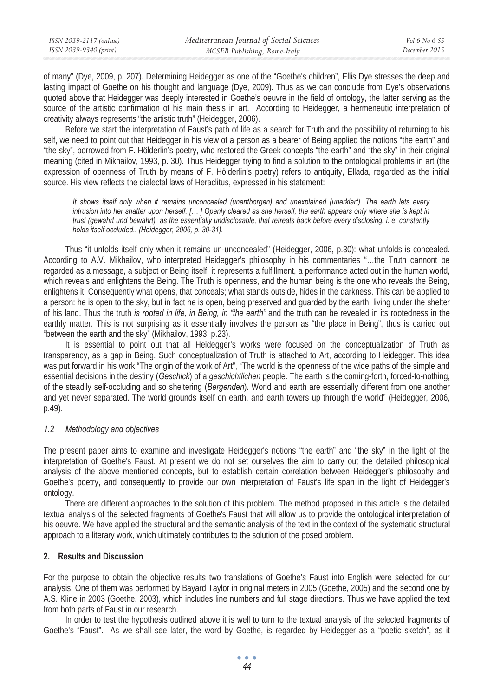of many" (Dye, 2009, p. 207). Determining Heidegger as one of the "Goethe's children", Ellis Dye stresses the deep and lasting impact of Goethe on his thought and language (Dye, 2009). Thus as we can conclude from Dye's observations quoted above that Heidegger was deeply interested in Goethe's oeuvre in the field of ontology, the latter serving as the source of the artistic confirmation of his main thesis in art. According to Heidegger, a hermeneutic interpretation of creativity always represents "the artistic truth" (Heidegger, 2006).

Before we start the interpretation of Faust's path of life as a search for Truth and the possibility of returning to his self, we need to point out that Heidegger in his view of a person as a bearer of Being applied the notions "the earth" and "the sky", borrowed from F. Hölderlin's poetry, who restored the Greek concepts "the earth" and "the sky" in their original meaning (cited in Mikhailov, 1993, p. 30). Thus Heidegger trying to find a solution to the ontological problems in art (the expression of openness of Truth by means of F. Hölderlin's poetry) refers to antiquity, Ellada, regarded as the initial source. His view reflects the dialectal laws of Heraclitus, expressed in his statement:

*It shows itself only when it remains unconcealed (unentborgen) and unexplained (unerklart). The earth lets every intrusion into her shatter upon herself. [… ] Openly cleared as she herself, the earth appears only where she is kept in trust (gewahrt und bewahrt) as the essentially undisclosable, that retreats back before every disclosing, i. e. constantly holds itself occluded.. (Heidegger, 2006, p. 30-31).* 

Thus "it unfolds itself only when it remains un-unconcealed" (Heidegger, 2006, p.30): what unfolds is concealed. According to A.V. Mikhailov, who interpreted Heidegger's philosophy in his commentaries "…the Truth cannont be regarded as a message, a subject or Being itself, it represents a fulfillment, a performance acted out in the human world, which reveals and enlightens the Being. The Truth is openness, and the human being is the one who reveals the Being, enlightens it. Consequently what opens, that conceals; what stands outside, hides in the darkness. This can be applied to a person: he is open to the sky, but in fact he is open, being preserved and guarded by the earth, living under the shelter of his land. Thus the truth *is rooted in life, in Being, in "the earth"* and the truth can be revealed in its rootedness in the earthly matter. This is not surprising as it essentially involves the person as "the place in Being", thus is carried out "between the earth and the sky" (Mikhailov, 1993, p.23).

It is essential to point out that all Heidegger's works were focused on the conceptualization of Truth as transparency, as a gap in Being. Such conceptualization of Truth is attached to Art, according to Heidegger. This idea was put forward in his work "The origin of the work of Art", "The world is the openness of the wide paths of the simple and essential decisions in the destiny (*Geschick*) of a *geschichtlichen* people. The earth is the coming-forth, forced-to-nothing, of the steadily self-occluding and so sheltering (*Bergenden*). World and earth are essentially different from one another and yet never separated. The world grounds itself on earth, and earth towers up through the world" (Heidegger, 2006, p.49).

## *1.2 Methodology and objectives*

The present paper aims to examine and investigate Heidegger's notions "the earth" and "the sky" in the light of the interpretation of Goethe's Faust. At present we do not set ourselves the aim to carry out the detailed philosophical analysis of the above mentioned concepts, but to establish certain correlation between Heidegger's philosophy and Goethe's poetry, and consequently to provide our own interpretation of Faust's life span in the light of Heidegger's ontology.

There are different approaches to the solution of this problem. The method proposed in this article is the detailed textual analysis of the selected fragments of Goethe's Faust that will allow us to provide the ontological interpretation of his oeuvre. We have applied the structural and the semantic analysis of the text in the context of the systematic structural approach to a literary work, which ultimately contributes to the solution of the posed problem.

## **2. Results and Discussion**

For the purpose to obtain the objective results two translations of Goethe's Faust into English were selected for our analysis. One of them was performed by Bayard Taylor in original meters in 2005 (Goethe, 2005) and the second one by A.S. Kline in 2003 (Goethe, 2003), which includes line numbers and full stage directions. Thus we have applied the text from both parts of Faust in our research.

In order to test the hypothesis outlined above it is well to turn to the textual analysis of the selected fragments of Goethe's "Faust". As we shall see later, the word by Goethe, is regarded by Heidegger as a "poetic sketch", as it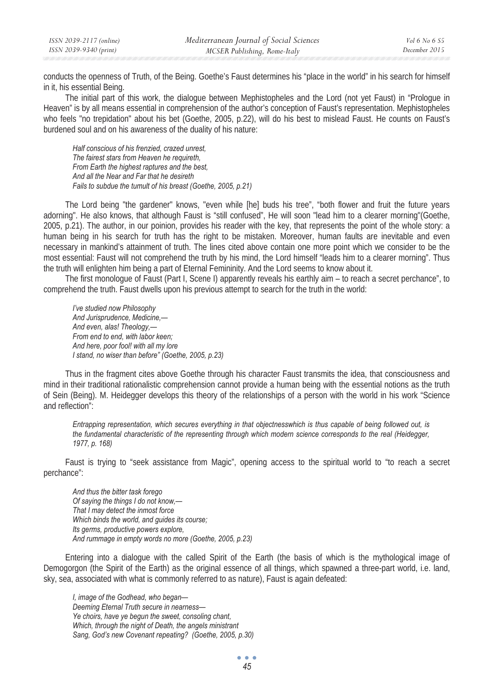| ISSN 2039-2117 (online) | Mediterranean Journal of Social Sciences | Vol 6 No 6 S5 |
|-------------------------|------------------------------------------|---------------|
| ISSN 2039-9340 (print)  | MCSER Publishing, Rome-Italy             | December 2015 |

conducts the openness of Truth, of the Being. Goethe's Faust determines his "place in the world" in his search for himself in it, his essential Being.

The initial part of this work, the dialogue between Mephistopheles and the Lord (not yet Faust) in "Prologue in Heaven" is by all means essential in comprehension of the author's conception of Faust's representation. Mephistopheles who feels "no trepidation" about his bet (Goethe, 2005, p.22), will do his best to mislead Faust. He counts on Faust's burdened soul and on his awareness of the duality of his nature:

*Half conscious of his frenzied, crazed unrest, The fairest stars from Heaven he requireth, From Earth the highest raptures and the best, And all the Near and Far that he desireth Fails to subdue the tumult of his breast (Goethe, 2005, p.21)* 

The Lord being "the gardener" knows, "even while [he] buds his tree", "both flower and fruit the future years adorning". He also knows, that although Faust is "still confused", He will soon "lead him to a clearer morning"(Goethe, 2005, p.21). The author, in our poinion, provides his reader with the key, that represents the point of the whole story: a human being in his search for truth has the right to be mistaken. Moreover, human faults are inevitable and even necessary in mankind's attainment of truth. The lines cited above contain one more point which we consider to be the most essential: Faust will not comprehend the truth by his mind, the Lord himself "leads him to a clearer morning". Thus the truth will enlighten him being a part of Eternal Femininity. And the Lord seems to know about it.

The first monoloque of Faust (Part I, Scene I) apparently reveals his earthly aim - to reach a secret perchance", to comprehend the truth. Faust dwells upon his previous attempt to search for the truth in the world:

*I've studied now Philosophy And Jurisprudence, Medicine,— And even, alas! Theology,— From end to end, with labor keen; And here, poor fool! with all my lore I stand, no wiser than before" (Goethe, 2005, p.23)* 

Thus in the fragment cites above Goethe through his character Faust transmits the idea, that consciousness and mind in their traditional rationalistic comprehension cannot provide a human being with the essential notions as the truth of Sein (Being). M. Heidegger develops this theory of the relationships of a person with the world in his work "Science and reflection":

*Entrapping representation, which secures everything in that objectnesswhich is thus capable of being followed out, is the fundamental characteristic of the representing through which modern science corresponds to the real (Heidegger, 1977, p. 168)* 

Faust is trying to "seek assistance from Magic", opening access to the spiritual world to "to reach a secret perchance":

*And thus the bitter task forego Of saying the things I do not know,— That I may detect the inmost force Which binds the world, and guides its course; Its germs, productive powers explore, And rummage in empty words no more (Goethe, 2005, p.23)* 

Entering into a dialogue with the called Spirit of the Earth (the basis of which is the mythological image of Demogorgon (the Spirit of the Earth) as the original essence of all things, which spawned a three-part world, i.e. land, sky, sea, associated with what is commonly referred to as nature), Faust is again defeated:

*I, image of the Godhead, who began— Deeming Eternal Truth secure in nearness— Ye choirs, have ye begun the sweet, consoling chant, Which, through the night of Death, the angels ministrant Sang, God's new Covenant repeating? (Goethe, 2005, p.30)*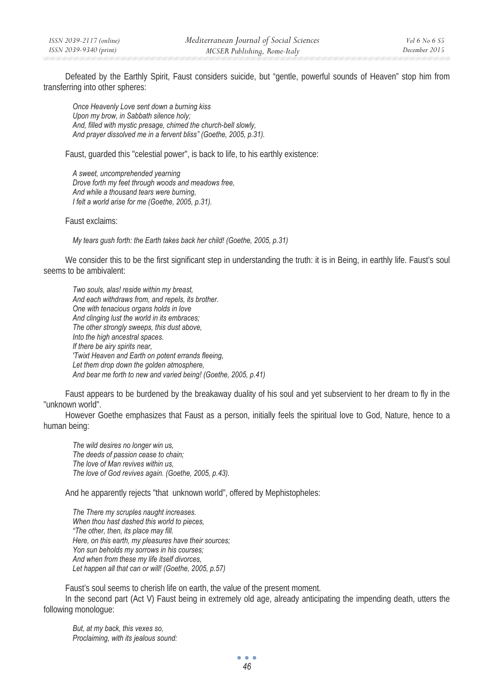Defeated by the Earthly Spirit, Faust considers suicide, but "gentle, powerful sounds of Heaven" stop him from transferring into other spheres:

*Once Heavenly Love sent down a burning kiss Upon my brow, in Sabbath silence holy; And, filled with mystic presage, chimed the church-bell slowly, And prayer dissolved me in a fervent bliss" (Goethe, 2005, p.31).* 

Faust, guarded this "celestial power", is back to life, to his earthly existence:

*A sweet, uncomprehended yearning Drove forth my feet through woods and meadows free, And while a thousand tears were burning, I felt a world arise for me (Goethe, 2005, p.31).* 

Faust exclaims:

*My tears gush forth: the Earth takes back her child! (Goethe, 2005, p.31)* 

We consider this to be the first significant step in understanding the truth: it is in Being, in earthly life. Faust's soul seems to be ambivalent:

*Two souls, alas! reside within my breast, And each withdraws from, and repels, its brother. One with tenacious organs holds in love And clinging lust the world in its embraces; The other strongly sweeps, this dust above, Into the high ancestral spaces. If there be airy spirits near, 'Twixt Heaven and Earth on potent errands fleeing, Let them drop down the golden atmosphere, And bear me forth to new and varied being! (Goethe, 2005, p.41)* 

Faust appears to be burdened by the breakaway duality of his soul and yet subservient to her dream to fly in the "unknown world".

However Goethe emphasizes that Faust as a person, initially feels the spiritual love to God, Nature, hence to a human being:

*The wild desires no longer win us, The deeds of passion cease to chain; The love of Man revives within us, The love of God revives again. (Goethe, 2005, p.43).* 

And he apparently rejects "that unknown world", offered by Mephistopheles:

*The There my scruples naught increases. When thou hast dashed this world to pieces, "The other, then, its place may fill. Here, on this earth, my pleasures have their sources; Yon sun beholds my sorrows in his courses; And when from these my life itself divorces,*  Let happen all that can or will! (Goethe, 2005, p.57)

Faust's soul seems to cherish life on earth, the value of the present moment.

In the second part (Act V) Faust being in extremely old age, already anticipating the impending death, utters the following monologue:

*But, at my back, this vexes so, Proclaiming, with its jealous sound:*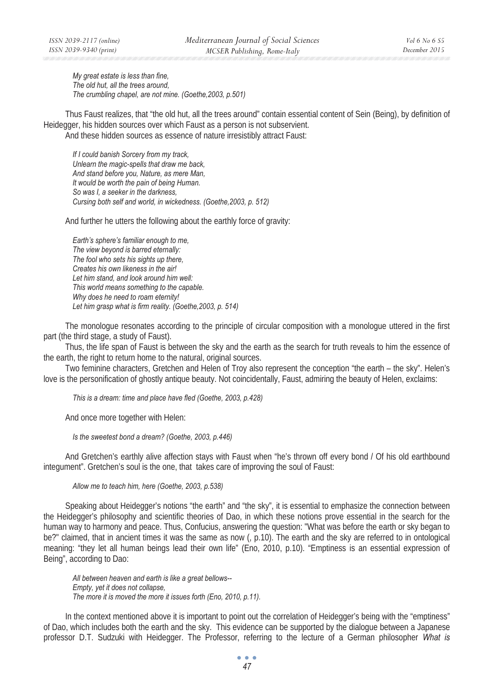*My great estate is less than fine, The old hut, all the trees around, The crumbling chapel, are not mine. (Goethe,2003, p.501)* 

Thus Faust realizes, that "the old hut, all the trees around" contain essential content of Sein (Being), by definition of Heidegger, his hidden sources over which Faust as a person is not subservient. And these hidden sources as essence of nature irresistibly attract Faust:

*If I could banish Sorcery from my track, Unlearn the magic-spells that draw me back, And stand before you, Nature, as mere Man, It would be worth the pain of being Human. So was I, a seeker in the darkness, Cursing both self and world, in wickedness. (Goethe,2003, p. 512)* 

And further he utters the following about the earthly force of gravity:

*Earth's sphere's familiar enough to me, The view beyond is barred eternally: The fool who sets his sights up there, Creates his own likeness in the air! Let him stand, and look around him well: This world means something to the capable. Why does he need to roam eternity!*  Let him grasp what is firm reality. (Goethe, 2003, p. 514)

The monologue resonates according to the principle of circular composition with a monologue uttered in the first part (the third stage, a study of Faust).

Thus, the life span of Faust is between the sky and the earth as the search for truth reveals to him the essence of the earth, the right to return home to the natural, original sources.

Two feminine characters, Gretchen and Helen of Troy also represent the conception "the earth – the sky". Helen's love is the personification of ghostly antique beauty. Not coincidentally, Faust, admiring the beauty of Helen, exclaims:

*This is a dream: time and place have fled (Goethe, 2003, p.428)* 

And once more together with Helen:

*Is the sweetest bond a dream? (Goethe, 2003, p.446)* 

And Gretchen's earthly alive affection stays with Faust when "he's thrown off every bond / Of his old earthbound integument". Gretchen's soul is the one, that takes care of improving the soul of Faust:

*Allow me to teach him, here (Goethe, 2003, p.538)* 

Speaking about Heidegger's notions "the earth" and "the sky", it is essential to emphasize the connection between the Heidegger's philosophy and scientific theories of Dao, in which these notions prove essential in the search for the human way to harmony and peace. Thus, Confucius, answering the question: "What was before the earth or sky began to be?" claimed, that in ancient times it was the same as now (, p.10). The earth and the sky are referred to in ontological meaning: "they let all human beings lead their own life" (Eno, 2010, p.10). "Emptiness is an essential expression of Being", according to Dao:

*All between heaven and earth is like a great bellows-- Empty, yet it does not collapse, The more it is moved the more it issues forth (Eno, 2010, p.11).* 

In the context mentioned above it is important to point out the correlation of Heidegger's being with the "emptiness" of Dao, which includes both the earth and the sky. This evidence can be supported by the dialogue between a Japanese professor D.T. Sudzuki with Heidegger. The Professor, referring to the lecture of a German philosopher *What is*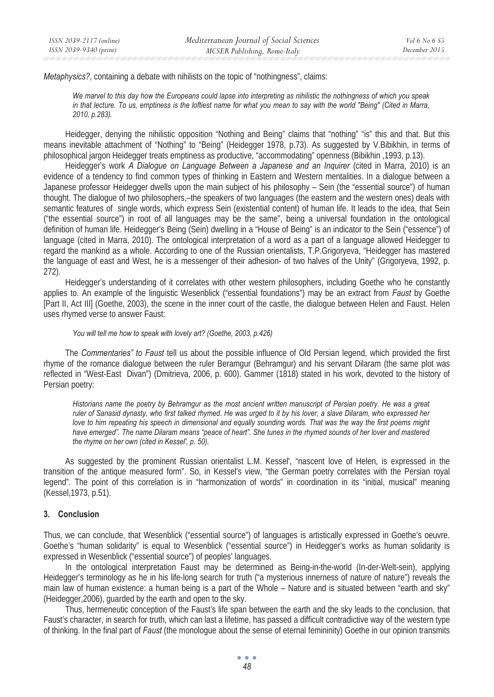*Metaphysics?*, containing a debate with nihilists on the topic of "nothingness", claims:

*We marvel to this day how the Europeans could lapse into interpreting as nihilistic the nothingness of which you speak in that lecture. To us, emptiness is the loftiest name for what you mean to say with the world "Being" (Cited in Marra, 2010, p.283).* 

Heidegger, denying the nihilistic opposition "Nothing and Being" claims that "nothing" "is" this and that. But this means inevitable attachment of "Nothing" to "Being" (Heidegger 1978, p.73). As suggested by V.Bibikhin, in terms of philosophical jargon Heidegger treats emptiness as productive, "accommodating" openness (Bibikhin ,1993, p.13).

Heidegger's work *A Dialogue on Language Between a Japanese and an Inquirer* (cited in Marra, 2010) is an evidence of a tendency to find common types of thinking in Eastern and Western mentalities. In a dialogue between a Japanese professor Heidegger dwells upon the main subject of his philosophy – Sein (the "essential source") of human thought. The dialogue of two philosophers,–the speakers of two languages (the eastern and the western ones) deals with semantic features of single words, which express Sein (existential content) of human life. It leads to the idea, that Sein ("the essential source") in root of all languages may be the same", being a universal foundation in the ontological definition of human life. Heidegger's Being (Sein) dwelling in a "House of Being" is an indicator to the Sein ("essence") of language (cited in Marra, 2010). The ontological interpretation of a word as a part of a language allowed Heidegger to regard the mankind as a whole. According to one of the Russian orientalists, T.P.Grigoryeva, "Heidegger has mastered the language of east and West, he is a messenger of their adhesion- of two halves of the Unity" (Grigoryeva, 1992, p. 272).

Heidegger's understanding of it correlates with other western philosophers, including Goethe who he constantly applies to. An example of the linguistic Wesenblick ("essential foundations") may be an extract from *Faust* by Goethe [Part II, Act III] (Goethe, 2003), the scene in the inner court of the castle, the dialogue between Helen and Faust. Helen uses rhymed verse to answer Faust:

### *You will tell me how to speak with lovely art? (Goethe, 2003, p.426)*

The *Commentaries" to Faust* tell us about the possible influence of Old Persian legend, which provided the first rhyme of the romance dialogue between the ruler Beramgur (Behramgur) and his servant Dilaram (the same plot was reflected in "West-East Divan") (Dmitrieva, 2006, p. 600). Gammer (1818) stated in his work, devoted to the history of Persian poetry:

*Historians name the poetry by Behramgur as the most ancient written manuscript of Persian poetry. He was a great ruler of Sanasid dynasty, who first talked rhymed. He was urged to it by his lover, a slave Dilaram, who expressed her love to him repeating his speech in dimensional and equally sounding words. That was the way the first poems might have emerged". The name Dilaram means "peace of heart". She tunes in the rhymed sounds of her lover and mastered the rhyme on her own (cited in Kessel', p. 50).* 

As suggested by the prominent Russian orientalist L.M. Kessel', "nascent love of Helen, is expressed in the transition of the antique measured form". So, in Kessel's view, "the German poetry correlates with the Persian royal legend". The point of this correlation is in "harmonization of words" in coordination in its "initial, musical" meaning (Kessel,1973, p.51).

### **3. Conclusion**

Thus, we can conclude, that Wesenblick ("essential source") of languages is artistically expressed in Goethe's oeuvre. Goethe's "human solidarity" is equal to Wesenblick ("essential source") in Heidegger's works as human solidarity is expressed in Wesenblick ("essential source") of peoples' languages.

In the ontological interpretation Faust may be determined as Being-in-the-world (In-der-Welt-sein), applying Heidegger's terminology as he in his life-long search for truth ("a mysterious innerness of nature of nature") reveals the main law of human existence: a human being is a part of the Whole – Nature and is situated between "earth and sky" (Heidegger,2006), guarded by the earth and open to the sky.

Thus, hermeneutic conception of the Faust's life span between the earth and the sky leads to the conclusion, that Faust's character, in search for truth, which can last a lifetime, has passed a difficult contradictive way of the western type of thinking. In the final part of *Faust* (the monologue about the sense of eternal femininity) Goethe in our opinion transmits